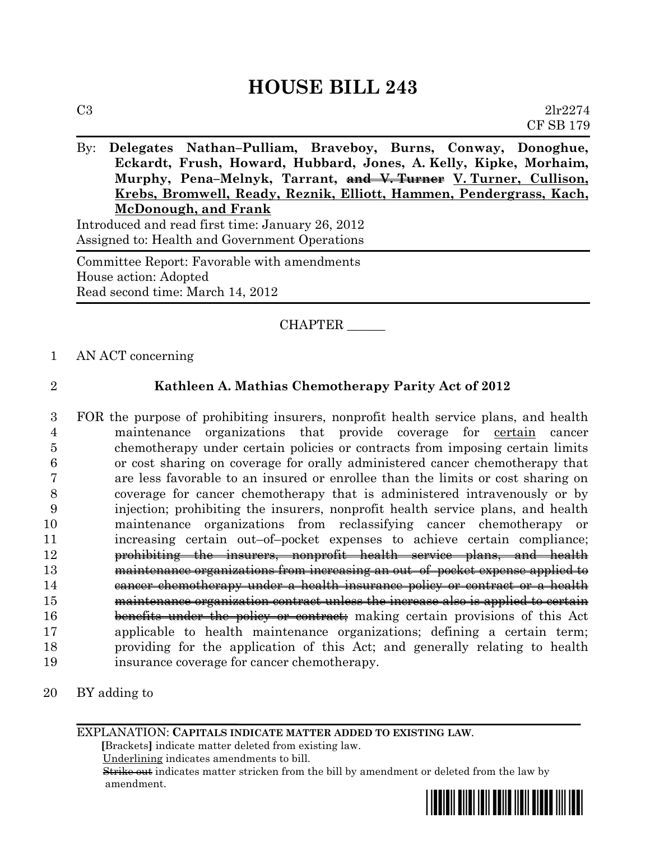# **HOUSE BILL 243**

By: **Delegates Nathan–Pulliam, Braveboy, Burns, Conway, Donoghue, Eckardt, Frush, Howard, Hubbard, Jones, A. Kelly, Kipke, Morhaim, Murphy, Pena–Melnyk, Tarrant, and V. Turner V. Turner, Cullison, Krebs, Bromwell, Ready, Reznik, Elliott, Hammen, Pendergrass, Kach, McDonough, and Frank** Introduced and read first time: January 26, 2012

Assigned to: Health and Government Operations

Committee Report: Favorable with amendments House action: Adopted Read second time: March 14, 2012

## CHAPTER \_\_\_\_\_\_

1 AN ACT concerning

### 2 **Kathleen A. Mathias Chemotherapy Parity Act of 2012**

 FOR the purpose of prohibiting insurers, nonprofit health service plans, and health maintenance organizations that provide coverage for certain cancer chemotherapy under certain policies or contracts from imposing certain limits or cost sharing on coverage for orally administered cancer chemotherapy that are less favorable to an insured or enrollee than the limits or cost sharing on coverage for cancer chemotherapy that is administered intravenously or by injection; prohibiting the insurers, nonprofit health service plans, and health maintenance organizations from reclassifying cancer chemotherapy or increasing certain out–of–pocket expenses to achieve certain compliance; prohibiting the insurers, nonprofit health service plans, and health maintenance organizations from increasing an out–of–pocket expense applied to 14 cancer chemotherapy under a health insurance policy or contract or a health maintenance organization contract unless the increase also is applied to certain 16 benefits under the policy or contract; making certain provisions of this Act applicable to health maintenance organizations; defining a certain term; providing for the application of this Act; and generally relating to health insurance coverage for cancer chemotherapy.

20 BY adding to

EXPLANATION: **CAPITALS INDICATE MATTER ADDED TO EXISTING LAW**.

 **[**Brackets**]** indicate matter deleted from existing law.

Underlining indicates amendments to bill.

 Strike out indicates matter stricken from the bill by amendment or deleted from the law by amendment.

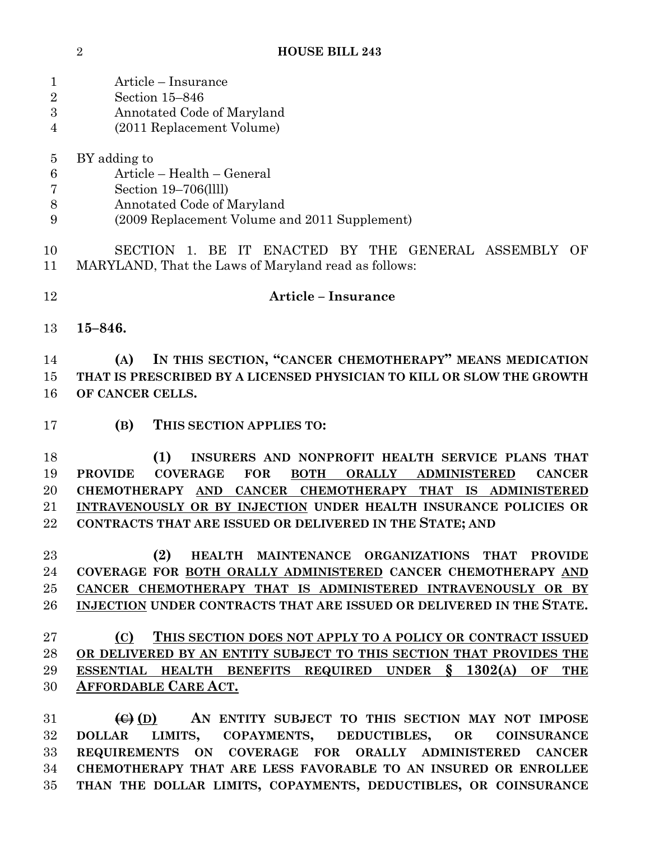| $\mathbf{1}$     | Article - Insurance                                                                                                     |
|------------------|-------------------------------------------------------------------------------------------------------------------------|
| $\overline{2}$   | Section 15-846                                                                                                          |
| $\boldsymbol{3}$ | Annotated Code of Maryland                                                                                              |
| 4                | (2011 Replacement Volume)                                                                                               |
|                  |                                                                                                                         |
| $\overline{5}$   | BY adding to                                                                                                            |
| 6                | Article - Health - General                                                                                              |
| 7                | Section 19-706(llll)                                                                                                    |
| $8\,$            | Annotated Code of Maryland                                                                                              |
| 9                | (2009 Replacement Volume and 2011 Supplement)                                                                           |
| 10<br>11         | SECTION 1. BE IT ENACTED BY THE GENERAL ASSEMBLY<br>OF<br>MARYLAND, That the Laws of Maryland read as follows:          |
| 12               | <b>Article - Insurance</b>                                                                                              |
| 13               | $15 - 846.$                                                                                                             |
| 14               | IN THIS SECTION, "CANCER CHEMOTHERAPY" MEANS MEDICATION<br>(A)                                                          |
| 15               | THAT IS PRESCRIBED BY A LICENSED PHYSICIAN TO KILL OR SLOW THE GROWTH                                                   |
| 16               | OF CANCER CELLS.                                                                                                        |
| 17               | (B)<br>THIS SECTION APPLIES TO:                                                                                         |
| 18               | (1)<br>INSURERS AND NONPROFIT HEALTH SERVICE PLANS THAT                                                                 |
| 19               | <b>PROVIDE</b><br><b>COVERAGE</b><br><b>FOR</b><br><b>BOTH</b><br><b>ORALLY</b><br><b>ADMINISTERED</b><br><b>CANCER</b> |
| 20               | CHEMOTHERAPY AND CANCER CHEMOTHERAPY THAT IS ADMINISTERED                                                               |
| 21               | INTRAVENOUSLY OR BY INJECTION UNDER HEALTH INSURANCE POLICIES OR                                                        |
| 22               | CONTRACTS THAT ARE ISSUED OR DELIVERED IN THE STATE; AND                                                                |
|                  |                                                                                                                         |
| 23               | (2)<br>HEALTH MAINTENANCE ORGANIZATIONS THAT PROVIDE                                                                    |
| 24               | COVERAGE FOR BOTH ORALLY ADMINISTERED CANCER CHEMOTHERAPY AND                                                           |
| $25\,$           | CANCER CHEMOTHERAPY THAT IS ADMINISTERED INTRAVENOUSLY OR BY                                                            |
| 26               | INJECTION UNDER CONTRACTS THAT ARE ISSUED OR DELIVERED IN THE STATE.                                                    |
| $27\,$           | (C)<br>THIS SECTION DOES NOT APPLY TO A POLICY OR CONTRACT ISSUED                                                       |
| 28               | OR DELIVERED BY AN ENTITY SUBJECT TO THIS SECTION THAT PROVIDES THE                                                     |
|                  | \$1302(A)<br><b>ESSENTIAL</b><br>OF                                                                                     |
| 29               | HEALTH BENEFITS REQUIRED UNDER<br><b>THE</b>                                                                            |
| 30               | <b>AFFORDABLE CARE ACT.</b>                                                                                             |
| 31               | AN ENTITY SUBJECT TO THIS SECTION MAY NOT IMPOSE                                                                        |
|                  | $\left(\theta\right)$ (D)                                                                                               |
| $32\,$           | LIMITS,<br><b>DEDUCTIBLES,</b><br><b>DOLLAR</b><br>COPAYMENTS,<br><b>COINSURANCE</b><br>OR                              |

 **REQUIREMENTS ON COVERAGE FOR ORALLY ADMINISTERED CANCER CHEMOTHERAPY THAT ARE LESS FAVORABLE TO AN INSURED OR ENROLLEE THAN THE DOLLAR LIMITS, COPAYMENTS, DEDUCTIBLES, OR COINSURANCE**